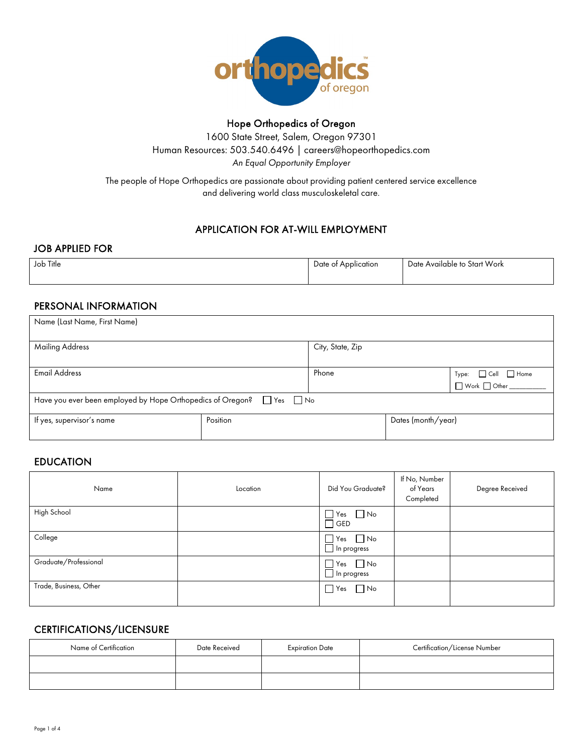

## Hope Orthopedics of Oregon

1600 State Street, Salem, Oregon 97301 Human Resources: 503.540.6496 | careers@hopeorthopedics.com *An Equal Opportunity Employer*

The people of Hope Orthopedics are passionate about providing patient centered service excellence and delivering world class musculoskeletal care.

## APPLICATION FOR AT-WILL EMPLOYMENT

#### JOB APPLIED FOR

| Job Title | Date of Application | Date Available to Start Work |
|-----------|---------------------|------------------------------|
|           |                     |                              |

## PERSONAL INFORMATION

| Name (Last Name, First Name)                                        |          |                  |                    |                                                                                                                           |  |
|---------------------------------------------------------------------|----------|------------------|--------------------|---------------------------------------------------------------------------------------------------------------------------|--|
| <b>Mailing Address</b>                                              |          | City, State, Zip |                    |                                                                                                                           |  |
| <b>Email Address</b>                                                |          | Phone            |                    | $Type: \qquad \Box \text{Cell} \qquad \Box \text{ Home}$ $\Box \text{ Work} \qquad \Box \text{ Other} \qquad \qquad \Box$ |  |
| Have you ever been employed by Hope Orthopedics of Oregon? Thes Tho |          |                  |                    |                                                                                                                           |  |
| If yes, supervisor's name                                           | Position |                  | Dates (month/year) |                                                                                                                           |  |

## EDUCATION

| Name                   | Location | Did You Graduate?                                  | If No, Number<br>of Years<br>Completed | Degree Received |
|------------------------|----------|----------------------------------------------------|----------------------------------------|-----------------|
| High School            |          | $\Box$ Yes $\Box$ No<br>$\Box$ GED                 |                                        |                 |
| College                |          | $\Box$ Yes $\Box$ No<br>$\blacksquare$ In progress |                                        |                 |
| Graduate/Professional  |          | $\Box$ Yes $\Box$ No<br>$\Box$ In progress         |                                        |                 |
| Trade, Business, Other |          | $\Box$ No<br>$\blacksquare$ Yes                    |                                        |                 |

## CERTIFICATIONS/LICENSURE

| Name of Certification | Date Received | <b>Expiration Date</b> | Certification/License Number |
|-----------------------|---------------|------------------------|------------------------------|
|                       |               |                        |                              |
|                       |               |                        |                              |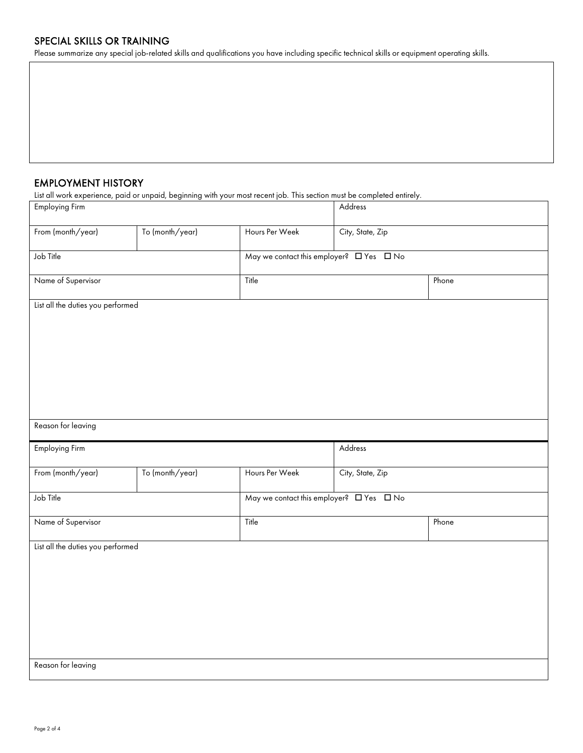#### SPECIAL SKILLS OR TRAINING

Please summarize any special job-related skills and qualifications you have including specific technical skills or equipment operating skills.

#### EMPLOYMENT HISTORY

List all work experience, paid or unpaid, beginning with your most recent job. This section must be completed entirely.

| Employing Firm                    |                 |                                                          | Address          |       |
|-----------------------------------|-----------------|----------------------------------------------------------|------------------|-------|
| From (month/year)                 | To (month/year) | Hours Per Week                                           | City, State, Zip |       |
| Job Title                         |                 | May we contact this employer? $\square$ Yes $\square$ No |                  |       |
| Name of Supervisor                |                 | Title                                                    |                  | Phone |
| List all the duties you performed |                 |                                                          |                  |       |
|                                   |                 |                                                          |                  |       |
|                                   |                 |                                                          |                  |       |
|                                   |                 |                                                          |                  |       |
|                                   |                 |                                                          |                  |       |
| Reason for leaving                |                 |                                                          |                  |       |
|                                   |                 |                                                          |                  |       |
| Employing Firm                    |                 |                                                          | Address          |       |
| From (month/year)                 | To (month/year) | Hours Per Week                                           | City, State, Zip |       |
| Job Title                         |                 | May we contact this employer? $\Box$ Yes $\Box$ No       |                  |       |
|                                   |                 |                                                          |                  |       |
| Name of Supervisor                |                 | Title                                                    |                  | Phone |
| List all the duties you performed |                 |                                                          |                  |       |
|                                   |                 |                                                          |                  |       |
|                                   |                 |                                                          |                  |       |
|                                   |                 |                                                          |                  |       |
| Reason for leaving                |                 |                                                          |                  |       |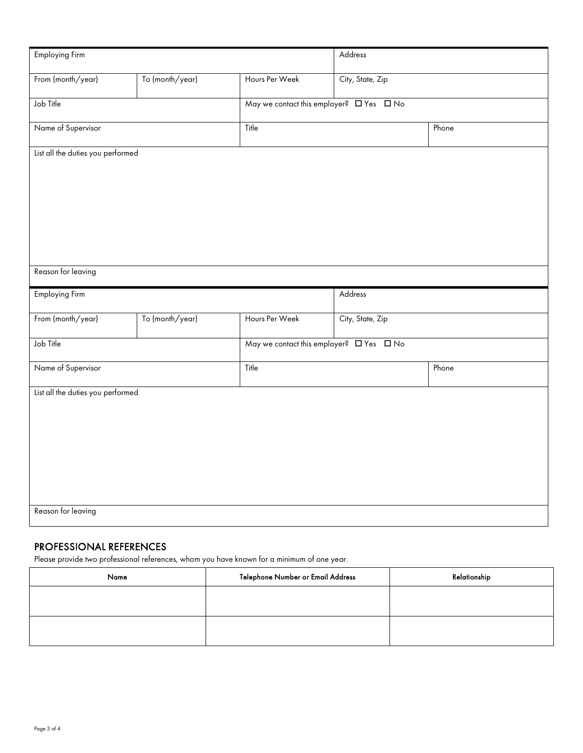| Employing Firm                    |                 | Address        |                  |       |
|-----------------------------------|-----------------|----------------|------------------|-------|
| From (month/year)                 | To (month/year) | Hours Per Week | City, State, Zip |       |
| Job Title                         |                 |                |                  |       |
| Name of Supervisor                |                 | Title          |                  | Phone |
| List all the duties you performed |                 |                |                  |       |
|                                   |                 |                |                  |       |
|                                   |                 |                |                  |       |
|                                   |                 |                |                  |       |
|                                   |                 |                |                  |       |
| Reason for leaving                |                 |                |                  |       |
| Employing Firm                    |                 |                | Address          |       |
| From (month/year)                 | To (month/year) | Hours Per Week | City, State, Zip |       |
| Job Title                         |                 |                |                  |       |
| Name of Supervisor<br>Title       |                 |                |                  | Phone |
| List all the duties you performed |                 |                |                  |       |
|                                   |                 |                |                  |       |
|                                   |                 |                |                  |       |
|                                   |                 |                |                  |       |
|                                   |                 |                |                  |       |
| Reason for leaving                |                 |                |                  |       |

# PROFESSIONAL REFERENCES

Please provide two professional references, whom you have known for a minimum of one year.

| Name | Telephone Number or Email Address | Relationship |
|------|-----------------------------------|--------------|
|      |                                   |              |
|      |                                   |              |
|      |                                   |              |